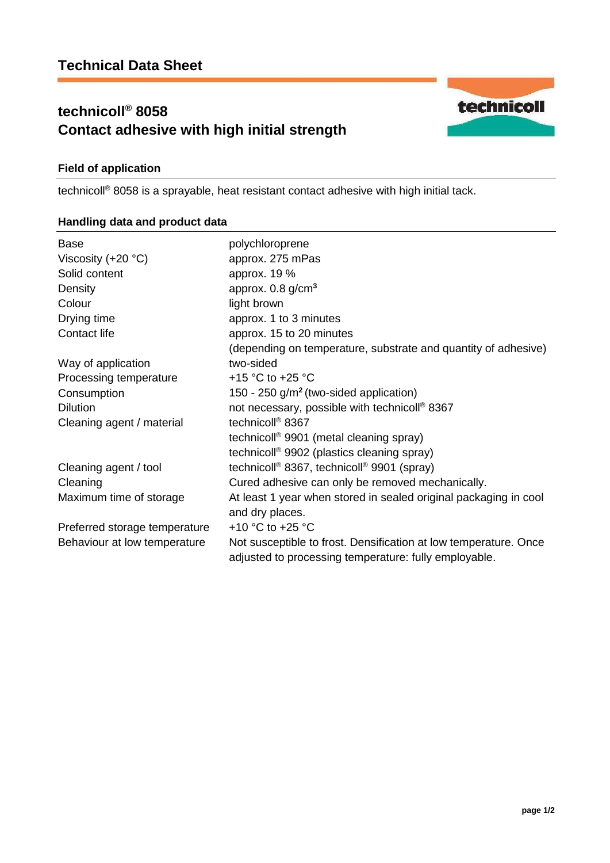# **technicoll® 8058 Contact adhesive with high initial strength**



technicoll® 8058 is a sprayable, heat resistant contact adhesive with high initial tack.

## **Handling data and product data**

| <b>Base</b>                   | polychloroprene                                                    |
|-------------------------------|--------------------------------------------------------------------|
| Viscosity $(+20 °C)$          | approx. 275 mPas                                                   |
| Solid content                 | approx. 19 %                                                       |
| Density                       | approx. $0.8$ g/cm <sup>3</sup>                                    |
| Colour                        | light brown                                                        |
| Drying time                   | approx. 1 to 3 minutes                                             |
| Contact life                  | approx. 15 to 20 minutes                                           |
|                               | (depending on temperature, substrate and quantity of adhesive)     |
| Way of application            | two-sided                                                          |
| Processing temperature        | +15 °C to +25 °C                                                   |
| Consumption                   | 150 - 250 $g/m2$ (two-sided application)                           |
| <b>Dilution</b>               | not necessary, possible with technicoll <sup>®</sup> 8367          |
| Cleaning agent / material     | technicoll <sup>®</sup> 8367                                       |
|                               | technicoll <sup>®</sup> 9901 (metal cleaning spray)                |
|                               | technicoll <sup>®</sup> 9902 (plastics cleaning spray)             |
| Cleaning agent / tool         | technicoll <sup>®</sup> 8367, technicoll <sup>®</sup> 9901 (spray) |
| Cleaning                      | Cured adhesive can only be removed mechanically.                   |
| Maximum time of storage       | At least 1 year when stored in sealed original packaging in cool   |
|                               | and dry places.                                                    |
| Preferred storage temperature | +10 $\degree$ C to +25 $\degree$ C                                 |
| Behaviour at low temperature  | Not susceptible to frost. Densification at low temperature. Once   |
|                               | adjusted to processing temperature: fully employable.              |

technicoll